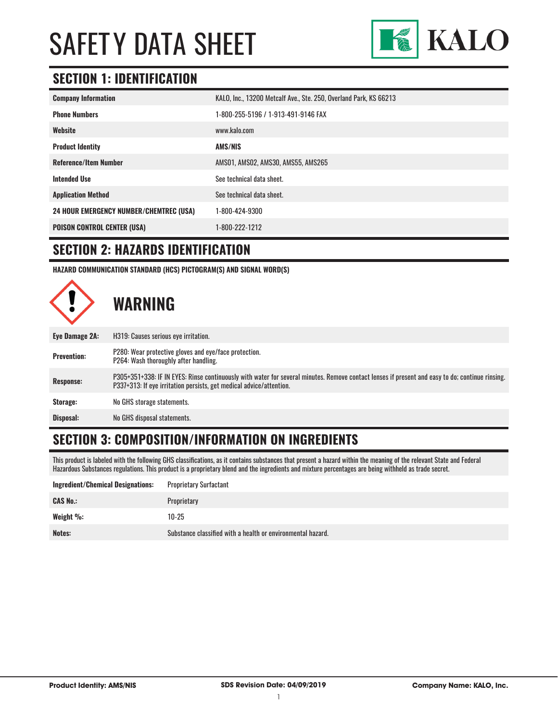

### **SECTION 1: IDENTIFICATION**

| KALO, Inc., 13200 Metcalf Ave., Ste. 250, Overland Park, KS 66213 |
|-------------------------------------------------------------------|
| 1-800-255-5196 / 1-913-491-9146 FAX                               |
| www.kalo.com                                                      |
| <b>AMS/NIS</b>                                                    |
| AMS01, AMS02, AMS30, AMS55, AMS265                                |
| See technical data sheet.                                         |
| See technical data sheet.                                         |
| 1-800-424-9300                                                    |
| 1-800-222-1212                                                    |
|                                                                   |

#### **SECTION 2: HAZARDS IDENTIFICATION**

**HAZARD COMMUNICATION STANDARD (HCS) PICTOGRAM(S) AND SIGNAL WORD(S)**



### **SECTION 3: COMPOSITION/INFORMATION ON INGREDIENTS**

This product is labeled with the following GHS classifications, as it contains substances that present a hazard within the meaning of the relevant State and Federal Hazardous Substances regulations. This product is a proprietary blend and the ingredients and mixture percentages are being withheld as trade secret.

| <b>Ingredient/Chemical Designations:</b> | <b>Proprietary Surfactant</b>                               |
|------------------------------------------|-------------------------------------------------------------|
| <b>CAS No.:</b>                          | Proprietary                                                 |
| Weight %:                                | $10 - 25$                                                   |
| Notes:                                   | Substance classified with a health or environmental hazard. |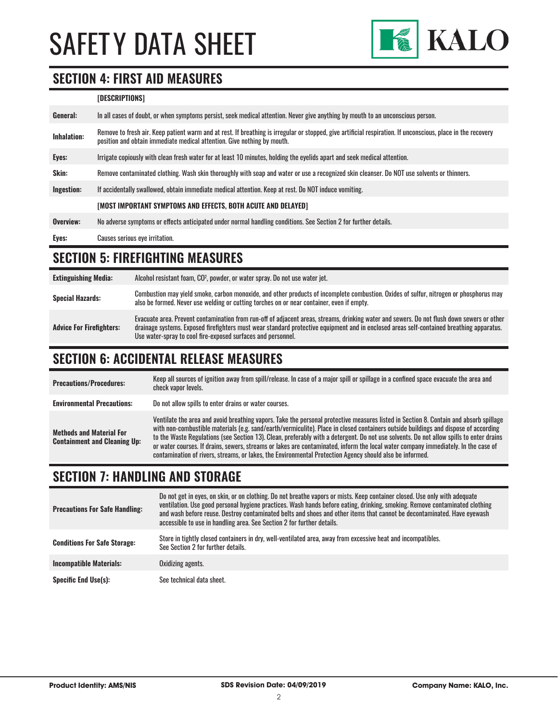

#### **SECTION 4: FIRST AID MEASURES**

#### **[DESCRIPTIONS]**

| General:    | In all cases of doubt, or when symptoms persist, seek medical attention. Never give anything by mouth to an unconscious person.                                                                                                         |
|-------------|-----------------------------------------------------------------------------------------------------------------------------------------------------------------------------------------------------------------------------------------|
| Inhalation: | Remove to fresh air. Keep patient warm and at rest. If breathing is irregular or stopped, give artificial respiration. If unconscious, place in the recovery<br>position and obtain immediate medical attention. Give nothing by mouth. |
| Eyes:       | Irrigate copiously with clean fresh water for at least 10 minutes, holding the eyelids apart and seek medical attention.                                                                                                                |
| Skin:       | Remove contaminated clothing. Wash skin thoroughly with soap and water or use a recognized skin cleanser. Do NOT use solvents or thinners.                                                                                              |
| Ingestion:  | If accidentally swallowed, obtain immediate medical attention. Keep at rest, Do NOT induce vomiting.                                                                                                                                    |
|             | [MOST IMPORTANT SYMPTOMS AND EFFECTS, BOTH ACUTE AND DELAYED]                                                                                                                                                                           |
| Overview:   | No adverse symptoms or effects anticipated under normal handling conditions. See Section 2 for further details.                                                                                                                         |
| Eyes:       | Causes serious eve irritation.                                                                                                                                                                                                          |

# **SECTION 5: FIREFIGHTING MEASURES**

| <b>Extinguishing Media:</b>     | Alcohol resistant foam, CO <sup>2</sup> , powder, or water spray. Do not use water jet.                                                                                                                                                                                                                                                                |
|---------------------------------|--------------------------------------------------------------------------------------------------------------------------------------------------------------------------------------------------------------------------------------------------------------------------------------------------------------------------------------------------------|
| <b>Special Hazards:</b>         | Combustion may yield smoke, carbon monoxide, and other products of incomplete combustion. Oxides of sulfur, nitrogen or phosphorus may<br>also be formed. Never use welding or cutting torches on or near container, even if empty.                                                                                                                    |
| <b>Advice For Firefighters:</b> | Evacuate area. Prevent contamination from run-off of adjacent areas, streams, drinking water and sewers. Do not flush down sewers or other<br>drainage systems. Exposed firefighters must wear standard protective equipment and in enclosed areas self-contained breathing apparatus.<br>Use water-spray to cool fire-exposed surfaces and personnel. |

### **SECTION 6: ACCIDENTAL RELEASE MEASURES**

| <b>Precautions/Procedures:</b>                                         | Keep all sources of ignition away from spill/release. In case of a major spill or spillage in a confined space evacuate the area and<br>check vapor levels.                                                                                                                                                                                                                                                                                                                                                                                                                                                                                                               |
|------------------------------------------------------------------------|---------------------------------------------------------------------------------------------------------------------------------------------------------------------------------------------------------------------------------------------------------------------------------------------------------------------------------------------------------------------------------------------------------------------------------------------------------------------------------------------------------------------------------------------------------------------------------------------------------------------------------------------------------------------------|
| <b>Environmental Precautions:</b>                                      | Do not allow spills to enter drains or water courses.                                                                                                                                                                                                                                                                                                                                                                                                                                                                                                                                                                                                                     |
| <b>Methods and Material For</b><br><b>Containment and Cleaning Up:</b> | Ventilate the area and avoid breathing vapors. Take the personal protective measures listed in Section 8. Contain and absorb spillage<br>with non-combustible materials (e.g. sand/earth/vermiculite). Place in closed containers outside buildings and dispose of according<br>to the Waste Regulations (see Section 13). Clean, preferably with a detergent. Do not use solvents. Do not allow spills to enter drains<br>or water courses. If drains, sewers, streams or lakes are contaminated, inform the local water company immediately. In the case of<br>contamination of rivers, streams, or lakes, the Environmental Protection Agency should also be informed. |

#### **SECTION 7: HANDLING AND STORAGE**

| <b>Precautions For Safe Handling:</b> | Do not get in eyes, on skin, or on clothing. Do not breathe vapors or mists. Keep container closed. Use only with adequate<br>ventilation. Use good personal hygiene practices. Wash hands before eating, drinking, smoking. Remove contaminated clothing<br>and wash before reuse. Destroy contaminated belts and shoes and other items that cannot be decontaminated. Have evewash<br>accessible to use in handling area. See Section 2 for further details. |
|---------------------------------------|----------------------------------------------------------------------------------------------------------------------------------------------------------------------------------------------------------------------------------------------------------------------------------------------------------------------------------------------------------------------------------------------------------------------------------------------------------------|
| <b>Conditions For Safe Storage:</b>   | Store in tightly closed containers in dry, well-ventilated area, away from excessive heat and incompatibles.<br>See Section 2 for further details.                                                                                                                                                                                                                                                                                                             |
| <b>Incompatible Materials:</b>        | Oxidizing agents.                                                                                                                                                                                                                                                                                                                                                                                                                                              |
| <b>Specific End Use(s):</b>           | See technical data sheet.                                                                                                                                                                                                                                                                                                                                                                                                                                      |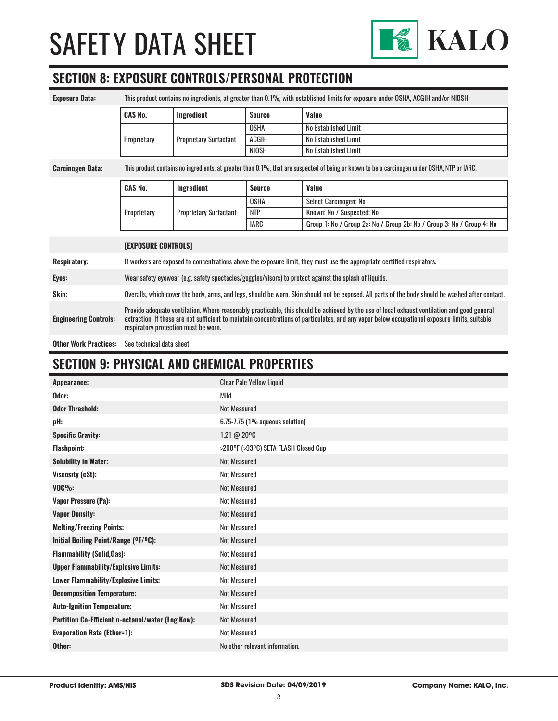

# **SECTION 8: EXPOSURE CONTROLS/PERSONAL PROTECTION**

| <b>Exposure Data:</b>        | This product contains no ingredients, at greater than 0.1%, with established limits for exposure under OSHA, ACGIH and/or NIOSH.                                                                                                                                                                                                       |                               |               |                                                                       |
|------------------------------|----------------------------------------------------------------------------------------------------------------------------------------------------------------------------------------------------------------------------------------------------------------------------------------------------------------------------------------|-------------------------------|---------------|-----------------------------------------------------------------------|
|                              | <b>CAS No.</b>                                                                                                                                                                                                                                                                                                                         | Ingredient                    | <b>Source</b> | Value                                                                 |
|                              |                                                                                                                                                                                                                                                                                                                                        | <b>Proprietary Surfactant</b> | <b>OSHA</b>   | No Established Limit                                                  |
|                              | Proprietary                                                                                                                                                                                                                                                                                                                            |                               | ACGIH         | No Established Limit                                                  |
|                              |                                                                                                                                                                                                                                                                                                                                        |                               | <b>NIOSH</b>  | No Established Limit                                                  |
| <b>Carcinogen Data:</b>      | This product contains no ingredients, at greater than 0.1%, that are suspected of being or known to be a carcinogen under OSHA, NTP or IARC.                                                                                                                                                                                           |                               |               |                                                                       |
|                              | <b>CAS No.</b>                                                                                                                                                                                                                                                                                                                         | Ingredient                    | <b>Source</b> | Value                                                                 |
|                              |                                                                                                                                                                                                                                                                                                                                        | <b>Proprietary Surfactant</b> | <b>OSHA</b>   | Select Carcinogen: No                                                 |
|                              | Proprietary                                                                                                                                                                                                                                                                                                                            |                               | <b>NTP</b>    | Known: No / Suspected: No                                             |
|                              |                                                                                                                                                                                                                                                                                                                                        |                               | <b>IARC</b>   | Group 1: No / Group 2a: No / Group 2b: No / Group 3: No / Group 4: No |
|                              | <b>[EXPOSURE CONTROLS]</b>                                                                                                                                                                                                                                                                                                             |                               |               |                                                                       |
| <b>Respiratory:</b>          | If workers are exposed to concentrations above the exposure limit, they must use the appropriate certified respirators.                                                                                                                                                                                                                |                               |               |                                                                       |
| Eyes:                        | Wear safety eyewear (e.g. safety spectacles/goggles/visors) to protect against the splash of liquids.                                                                                                                                                                                                                                  |                               |               |                                                                       |
| Skin:                        | Overalls, which cover the body, arms, and legs, should be worn. Skin should not be exposed. All parts of the body should be washed after contact.                                                                                                                                                                                      |                               |               |                                                                       |
| <b>Engineering Controls:</b> | Provide adequate ventilation. Where reasonably practicable, this should be achieved by the use of local exhaust ventilation and good general<br>extraction. If these are not sufficient to maintain concentrations of particulates, and any vapor below occupational exposure limits, suitable<br>respiratory protection must be worn. |                               |               |                                                                       |

**Other Work Practices:** See technical data sheet.

# **SECTION 9: PHYSICAL AND CHEMICAL PROPERTIES**

| Appearance:                                       | <b>Clear Pale Yellow Liquid</b>      |
|---------------------------------------------------|--------------------------------------|
| Odor:                                             | Mild                                 |
| <b>Odor Threshold:</b>                            | <b>Not Measured</b>                  |
| pH:                                               | 6.75-7.75 (1% aqueous solution)      |
| <b>Specific Gravity:</b>                          | 1.21 @ 20°C                          |
| <b>Flashpoint:</b>                                | >200°F (>93°C) SETA FLASH Closed Cup |
| <b>Solubility in Water:</b>                       | <b>Not Measured</b>                  |
| Viscosity (cSt):                                  | <b>Not Measured</b>                  |
| $VOC\%$ :                                         | <b>Not Measured</b>                  |
| <b>Vapor Pressure (Pa):</b>                       | <b>Not Measured</b>                  |
| <b>Vapor Density:</b>                             | <b>Not Measured</b>                  |
| <b>Melting/Freezing Points:</b>                   | <b>Not Measured</b>                  |
| Initial Boiling Point/Range (OF/OC):              | <b>Not Measured</b>                  |
| <b>Flammability (Solid, Gas):</b>                 | <b>Not Measured</b>                  |
| <b>Upper Flammability/Explosive Limits:</b>       | <b>Not Measured</b>                  |
| Lower Flammability/Explosive Limits:              | <b>Not Measured</b>                  |
| <b>Decomposition Temperature:</b>                 | <b>Not Measured</b>                  |
| <b>Auto-Ignition Temperature:</b>                 | <b>Not Measured</b>                  |
| Partition Co-Efficient n-octanol/water (Log Kow): | <b>Not Measured</b>                  |
| <b>Evaporation Rate (Ether=1):</b>                | <b>Not Measured</b>                  |
| Other:                                            | No other relevant information.       |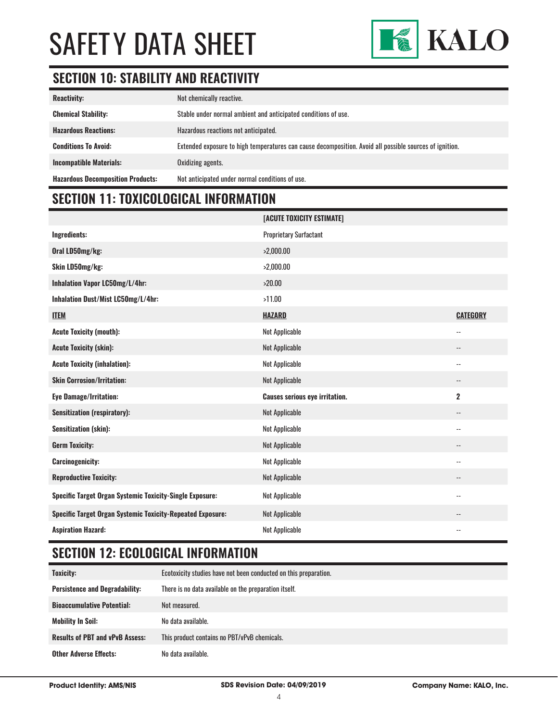

# **SECTION 10: STABILITY AND REACTIVITY**

| <b>Reactivity:</b>                       | Not chemically reactive.                                                                                |
|------------------------------------------|---------------------------------------------------------------------------------------------------------|
| <b>Chemical Stability:</b>               | Stable under normal ambient and anticipated conditions of use.                                          |
| <b>Hazardous Reactions:</b>              | Hazardous reactions not anticipated.                                                                    |
| <b>Conditions To Avoid:</b>              | Extended exposure to high temperatures can cause decomposition. Avoid all possible sources of ignition. |
| <b>Incompatible Materials:</b>           | Oxidizing agents.                                                                                       |
| <b>Hazardous Decomposition Products:</b> | Not anticipated under normal conditions of use.                                                         |

# **SECTION 11: TOXICOLOGICAL INFORMATION**

|                                                                   | [ACUTE TOXICITY ESTIMATE]             |                          |
|-------------------------------------------------------------------|---------------------------------------|--------------------------|
| Ingredients:                                                      | <b>Proprietary Surfactant</b>         |                          |
| Oral LD50mg/kg:                                                   | >2,000.00                             |                          |
| Skin LD50mg/kg:                                                   | >2,000.00                             |                          |
| Inhalation Vapor LC50mg/L/4hr:                                    | >20.00                                |                          |
| Inhalation Dust/Mist LC50mg/L/4hr:                                | >11.00                                |                          |
| <b>ITEM</b>                                                       | <b>HAZARD</b>                         | <b>CATEGORY</b>          |
| <b>Acute Toxicity (mouth):</b>                                    | Not Applicable                        | $\overline{\phantom{a}}$ |
| <b>Acute Toxicity (skin):</b>                                     | Not Applicable                        | $\overline{\phantom{a}}$ |
| <b>Acute Toxicity (inhalation):</b>                               | Not Applicable                        | $\overline{\phantom{a}}$ |
| <b>Skin Corrosion/Irritation:</b>                                 | Not Applicable                        | $\overline{\phantom{a}}$ |
| <b>Eye Damage/Irritation:</b>                                     | <b>Causes serious eye irritation.</b> | $\overline{2}$           |
| <b>Sensitization (respiratory):</b>                               | Not Applicable                        | $\overline{\phantom{a}}$ |
| <b>Sensitization (skin):</b>                                      | Not Applicable                        | $\overline{\phantom{a}}$ |
| <b>Germ Toxicity:</b>                                             | Not Applicable                        | --                       |
| <b>Carcinogenicity:</b>                                           | Not Applicable                        | $\overline{\phantom{a}}$ |
| <b>Reproductive Toxicity:</b>                                     | Not Applicable                        | $\overline{\phantom{a}}$ |
| Specific Target Organ Systemic Toxicity-Single Exposure:          | Not Applicable                        | $\overline{\phantom{a}}$ |
| <b>Specific Target Organ Systemic Toxicity-Repeated Exposure:</b> | Not Applicable                        | --                       |
| <b>Aspiration Hazard:</b>                                         | Not Applicable                        | $\overline{\phantom{a}}$ |

# **SECTION 12: ECOLOGICAL INFORMATION**

| Toxicity:                              | Ecotoxicity studies have not been conducted on this preparation. |
|----------------------------------------|------------------------------------------------------------------|
| <b>Persistence and Degradability:</b>  | There is no data available on the preparation itself.            |
| <b>Bioaccumulative Potential:</b>      | Not measured.                                                    |
| <b>Mobility In Soil:</b>               | No data available.                                               |
| <b>Results of PBT and vPvB Assess:</b> | This product contains no PBT/vPvB chemicals.                     |
| <b>Other Adverse Effects:</b>          | No data available.                                               |